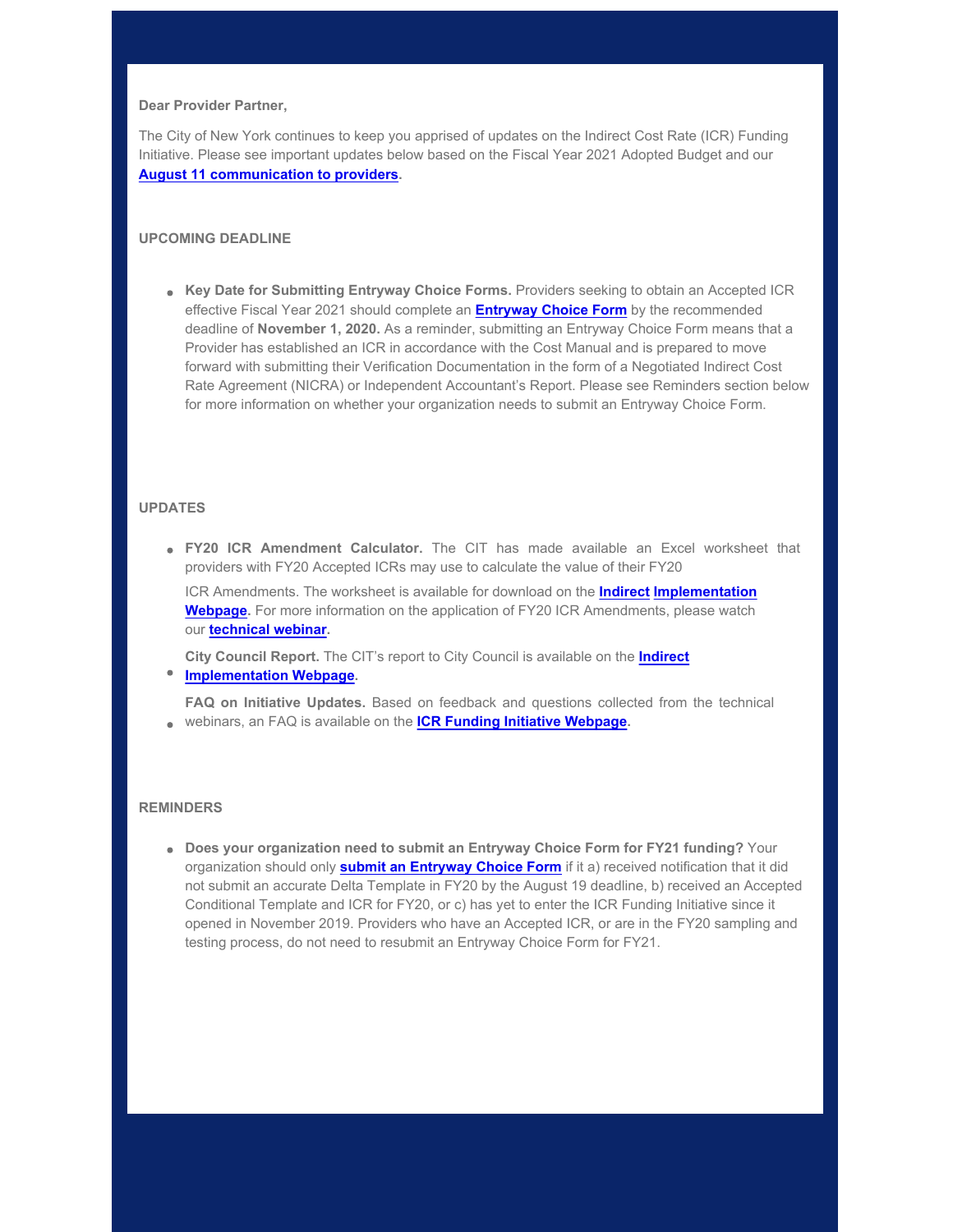### **Dear Provider Partner,**

The City of New York continues to keep you apprised of updates on the Indirect Cost Rate (ICR) Funding Initiative. Please see important updates below based on the Fiscal Year 2021 Adopted Budget and our **[August 11 communication to providers](https://gcc01.safelinks.protection.outlook.com/?url=https%3A%2F%2Fwww1.nyc.gov%2Fassets%2Fnonprofits%2Fdownloads%2Fpdf%2FAug11_Indirect_Rate_Initative_Update.pdf%3Futm_medium%3Demail%26utm_source%3Dgovdelivery&data=02%7C01%7Coluwa.small%40mocs.nyc.gov%7C39cddda6dcad4399eaea08d859dfcab9%7C32f56fc75f814e22a95b15da66513bef%7C0%7C0%7C637358165595433628&sdata=6Gk6PozI3kQWnGztBhHbdYCYqim3HzPQZy9uMH%2BDqeU%3D&reserved=0).**

# **UPCOMING DEADLINE**

**Key Date for Submitting Entryway Choice Forms.** Providers seeking to obtain an Accepted ICR effective Fiscal Year 2021 should complete an **[Entryway Choice Form](https://gcc01.safelinks.protection.outlook.com/?url=https%3A%2F%2Fwww1.nyc.gov%2Fsite%2Fnonprofits%2Ffunded-providers%2Findirect-entryway-choice-form.page%3Futm_medium%3Demail%26utm_source%3Dgovdelivery&data=02%7C01%7Coluwa.small%40mocs.nyc.gov%7C39cddda6dcad4399eaea08d859dfcab9%7C32f56fc75f814e22a95b15da66513bef%7C0%7C0%7C637358165595443582&sdata=W1cTv%2FvM3cOStMmnT2gFeJcZyG%2FHDfDACo%2Fc9KJNr6A%3D&reserved=0)** by the recommended deadline of **November 1, 2020.** As a reminder, submitting an Entryway Choice Form means that a Provider has established an ICR in accordance with the Cost Manual and is prepared to move forward with submitting their Verification Documentation in the form of a Negotiated Indirect Cost Rate Agreement (NICRA) or Independent Accountant's Report. Please see Reminders section below for more information on whether your organization needs to submit an Entryway Choice Form.

# **UPDATES**

**FY20 ICR Amendment Calculator.** The CIT has made available an Excel worksheet that providers with FY20 Accepted ICRs may use to calculate the value of their FY20

ICR Amendments. The worksheet is available for download on the **Indirect Implementation Webpage.** For more information on the application of FY20 ICR Amendments, please watch our **technical webinar.**

**City Council Report.** The CIT's report to City Council is available on the **Indirect**

**Implementation Webpage.**

**FAQ on Initiative Updates.** Based on feedback and questions collected from the technical webinars, an FAQ is available on the **ICR Funding Initiative Webpage.**

## **REMINDERS**

**Does your organization need to submit an Entryway Choice Form for FY21 funding?** Your organization should only **submit an Entryway Choice Form** if it a) received notification that it did not submit an accurate Delta Template in FY20 by the August 19 deadline, b) received an Accepted Conditional Template and ICR for FY20, or c) has yet to enter the ICR Funding Initiative since it opened in November 2019. Providers who have an Accepted ICR, or are in the FY20 sampling and testing process, do not need to resubmit an Entryway Choice Form for FY21.